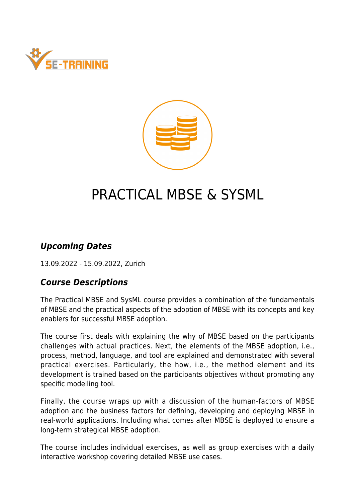



# PRACTICAL MBSE & SYSML

#### *Upcoming Dates*

13.09.2022 - 15.09.2022, Zurich

#### *Course Descriptions*

The Practical MBSE and SysML course provides a combination of the fundamentals of MBSE and the practical aspects of the adoption of MBSE with its concepts and key enablers for successful MBSE adoption.

The course first deals with explaining the why of MBSE based on the participants challenges with actual practices. Next, the elements of the MBSE adoption, i.e., process, method, language, and tool are explained and demonstrated with several practical exercises. Particularly, the how, i.e., the method element and its development is trained based on the participants objectives without promoting any specific modelling tool.

Finally, the course wraps up with a discussion of the human-factors of MBSE adoption and the business factors for defining, developing and deploying MBSE in real-world applications. Including what comes after MBSE is deployed to ensure a long-term strategical MBSE adoption.

The course includes individual exercises, as well as group exercises with a daily interactive workshop covering detailed MBSE use cases.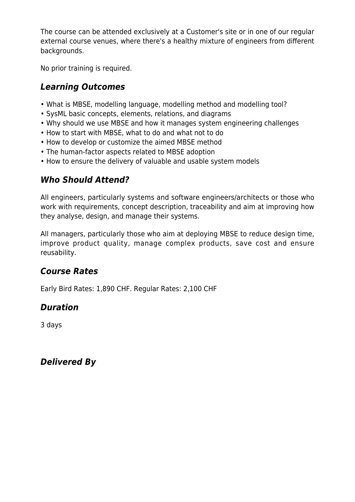The course can be attended exclusively at a Customer's site or in one of our regular external course venues, where there's a healthy mixture of engineers from different backgrounds.

No prior training is required.

## *Learning Outcomes*

- What is MBSE, modelling language, modelling method and modelling tool?
- SysML basic concepts, elements, relations, and diagrams
- Why should we use MBSE and how it manages system engineering challenges
- How to start with MBSE, what to do and what not to do
- How to develop or customize the aimed MBSE method
- The human-factor aspects related to MBSE adoption
- How to ensure the delivery of valuable and usable system models

## *Who Should Attend?*

All engineers, particularly systems and software engineers/architects or those who work with requirements, concept description, traceability and aim at improving how they analyse, design, and manage their systems.

All managers, particularly those who aim at deploying MBSE to reduce design time, improve product quality, manage complex products, save cost and ensure reusability.

## *Course Rates*

Early Bird Rates: 1,890 CHF. Regular Rates: 2,100 CHF

## *Duration*

3 days

*Delivered By*